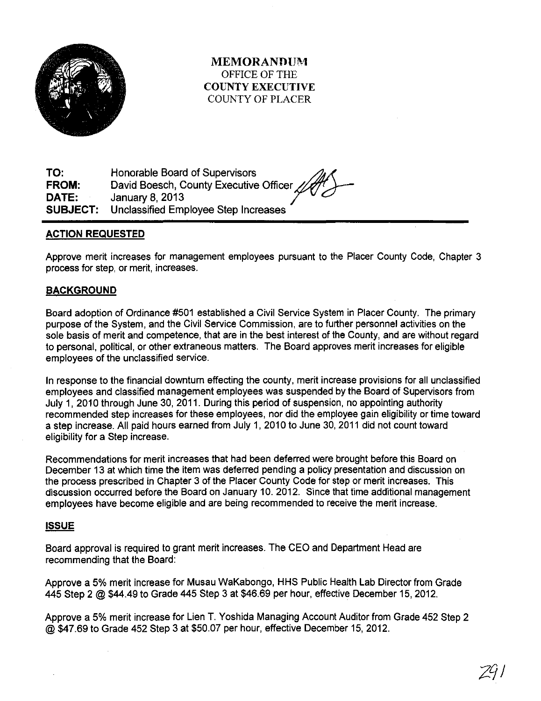

MEMORANDUM OFFICE OF THE COUNTY EXECUTIVE COUNTY OF PLACER

TO: FROM: DATE: SUBJECT: Honorable Board of Supervisors David Boesch, County Executive Officer  $\mathbb{Z}$ January 8, 2013 Unclassified Employee Step Increases

## ACTION REQUESTED

Approve merit increases for management employees pursuant to the Placer County Code, Chapter 3 process for step, or merit, increases.

## BACKGROUND

Board adoption of Ordinance #501 established a Civil Service System in Placer County. The primary purpose of the System, and the Civil Service Commission, are to further personnel activities on the sole basis of merit and competence, that are in the best interest of the County, and are without regard to personal, political, or other extraneous matters. The Board approves merit increases for eligible employees of the unclassified service.

In response to the financial downturn effecting the county, merit increase provisions for all unclassified employees and classified management employees was suspended by the Board of Supervisors from July 1, 2010 through June 30, 2011. During this period of suspension, no appointing authority recommended step increases for these employees, nor did the employee gain eligibility or time toward a step increase. All paid hours earned from July 1, 2010 to June 30, 2011 did not count toward eligibility for a Step increase.

Recommendations for merit increases that had been deferred were brought before this Board on December 13 at which time the item was deferred pending a policy presentation and discussion on the process prescribed in Chapter 3 of the Placer County Code for step or merit increases. This discussion occurred before the Board on January 10. 2012. Since that time additional management employees have become eligible and are being recommended to receive the merit increase.

## ISSUE

Board approval is required to grant merit increases. The CEO and Department Head are recommending that the Board:

Approve a 5% merit increase for Musau WaKabongo, HHS Public Health Lab Director from Grade 445 Step 2 @ \$44.49 to Grade 445 Step 3 at \$46.69 per hour, effective December 15, 2012.

Approve a 5% merit increase for Lien T. Yoshida Managing Account Auditor from Grade 452 Step 2 @\$47.69to Grade 452 Step 3 at \$50.07 per hour, effective December 15, 2012.